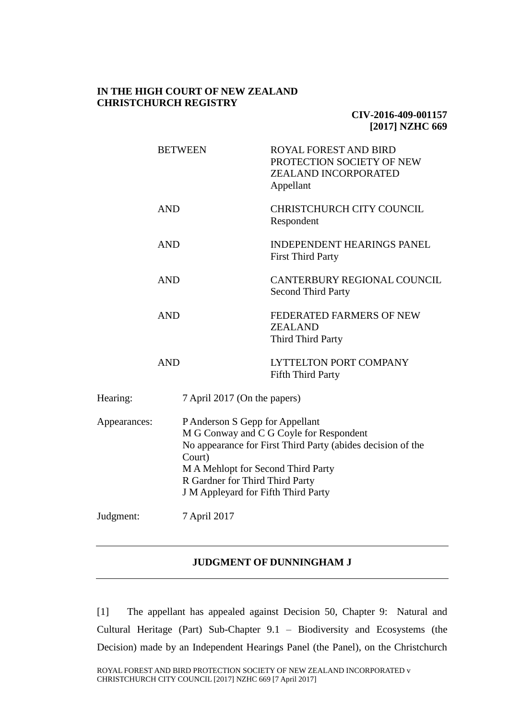## **IN THE HIGH COURT OF NEW ZEALAND CHRISTCHURCH REGISTRY**

# **CIV-2016-409-001157 [2017] NZHC 669**

|              |            | <b>BETWEEN</b>                                                                                                                                                                                                                                                      | <b>ROYAL FOREST AND BIRD</b><br>PROTECTION SOCIETY OF NEW<br><b>ZEALAND INCORPORATED</b><br>Appellant |  |
|--------------|------------|---------------------------------------------------------------------------------------------------------------------------------------------------------------------------------------------------------------------------------------------------------------------|-------------------------------------------------------------------------------------------------------|--|
|              | <b>AND</b> |                                                                                                                                                                                                                                                                     | CHRISTCHURCH CITY COUNCIL<br>Respondent                                                               |  |
|              | <b>AND</b> |                                                                                                                                                                                                                                                                     | <b>INDEPENDENT HEARINGS PANEL</b><br><b>First Third Party</b>                                         |  |
|              | <b>AND</b> |                                                                                                                                                                                                                                                                     | <b>CANTERBURY REGIONAL COUNCIL</b><br><b>Second Third Party</b>                                       |  |
|              | <b>AND</b> |                                                                                                                                                                                                                                                                     | FEDERATED FARMERS OF NEW<br><b>ZEALAND</b><br>Third Third Party                                       |  |
|              | <b>AND</b> |                                                                                                                                                                                                                                                                     | <b>LYTTELTON PORT COMPANY</b><br><b>Fifth Third Party</b>                                             |  |
| Hearing:     |            | 7 April 2017 (On the papers)                                                                                                                                                                                                                                        |                                                                                                       |  |
| Appearances: |            | P Anderson S Gepp for Appellant<br>M G Conway and C G Coyle for Respondent<br>No appearance for First Third Party (abides decision of the<br>Court)<br>M A Mehlopt for Second Third Party<br>R Gardner for Third Third Party<br>J M Appleyard for Fifth Third Party |                                                                                                       |  |
| Judgment:    |            | 7 April 2017                                                                                                                                                                                                                                                        |                                                                                                       |  |
|              |            |                                                                                                                                                                                                                                                                     |                                                                                                       |  |

# **JUDGMENT OF DUNNINGHAM J**

[1] The appellant has appealed against Decision 50, Chapter 9: Natural and Cultural Heritage (Part) Sub-Chapter 9.1 – Biodiversity and Ecosystems (the Decision) made by an Independent Hearings Panel (the Panel), on the Christchurch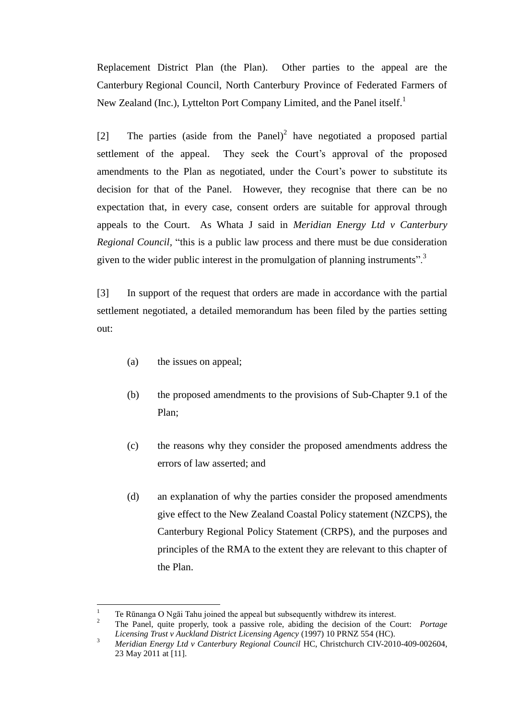Replacement District Plan (the Plan). Other parties to the appeal are the Canterbury Regional Council, North Canterbury Province of Federated Farmers of New Zealand (Inc.), Lyttelton Port Company Limited, and the Panel itself.<sup>1</sup>

[2] The parties (aside from the Panel)<sup>2</sup> have negotiated a proposed partial settlement of the appeal. They seek the Court's approval of the proposed amendments to the Plan as negotiated, under the Court's power to substitute its decision for that of the Panel. However, they recognise that there can be no expectation that, in every case, consent orders are suitable for approval through appeals to the Court. As Whata J said in *Meridian Energy Ltd v Canterbury Regional Council,* "this is a public law process and there must be due consideration given to the wider public interest in the promulgation of planning instruments".<sup>3</sup>

[3] In support of the request that orders are made in accordance with the partial settlement negotiated, a detailed memorandum has been filed by the parties setting out:

(a) the issues on appeal;

 $\overline{a}$ 

- (b) the proposed amendments to the provisions of Sub-Chapter 9.1 of the Plan;
- (c) the reasons why they consider the proposed amendments address the errors of law asserted; and
- (d) an explanation of why the parties consider the proposed amendments give effect to the New Zealand Coastal Policy statement (NZCPS), the Canterbury Regional Policy Statement (CRPS), and the purposes and principles of the RMA to the extent they are relevant to this chapter of the Plan.

<sup>&</sup>lt;sup>1</sup> Te Rūnanga O Ngāi Tahu joined the appeal but subsequently withdrew its interest.<br><sup>2</sup> The Banel quite properly tools a pessive role objeting the decision of the Co

<sup>2</sup> The Panel, quite properly, took a passive role, abiding the decision of the Court: *Portage Licensing Trust v Auckland District Licensing Agency* (1997) 10 PRNZ 554 (HC).

<sup>&</sup>lt;sup>3</sup> *Meridian Energy Ltd v Canterbury Regional Council HC, Christchurch CIV-2010-409-002604,* 23 May 2011 at [11].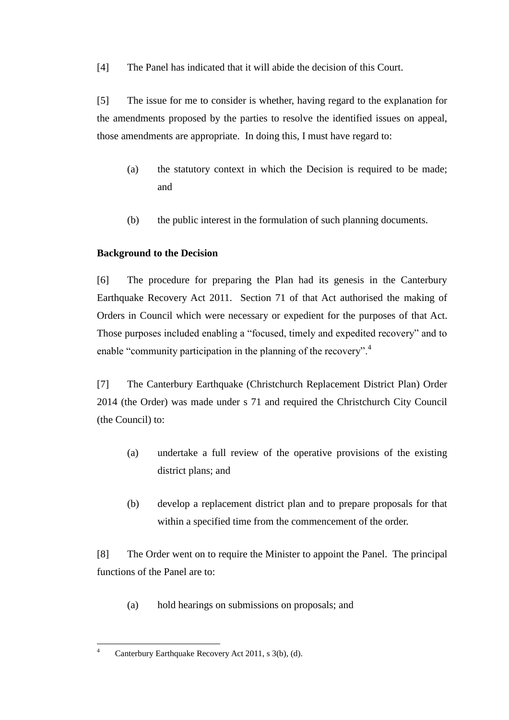[4] The Panel has indicated that it will abide the decision of this Court.

[5] The issue for me to consider is whether, having regard to the explanation for the amendments proposed by the parties to resolve the identified issues on appeal, those amendments are appropriate. In doing this, I must have regard to:

- (a) the statutory context in which the Decision is required to be made; and
- (b) the public interest in the formulation of such planning documents.

# **Background to the Decision**

[6] The procedure for preparing the Plan had its genesis in the Canterbury Earthquake Recovery Act 2011. Section 71 of that Act authorised the making of Orders in Council which were necessary or expedient for the purposes of that Act. Those purposes included enabling a "focused, timely and expedited recovery" and to enable "community participation in the planning of the recovery".<sup>4</sup>

[7] The Canterbury Earthquake (Christchurch Replacement District Plan) Order 2014 (the Order) was made under s 71 and required the Christchurch City Council (the Council) to:

- (a) undertake a full review of the operative provisions of the existing district plans; and
- (b) develop a replacement district plan and to prepare proposals for that within a specified time from the commencement of the order.

[8] The Order went on to require the Minister to appoint the Panel. The principal functions of the Panel are to:

(a) hold hearings on submissions on proposals; and

 $\overline{4}$ Canterbury Earthquake Recovery Act 2011, s 3(b), (d).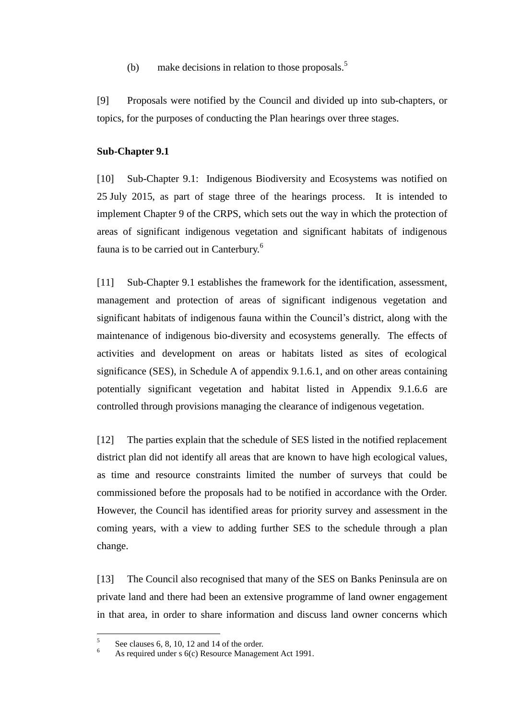(b) make decisions in relation to those proposals.<sup>5</sup>

[9] Proposals were notified by the Council and divided up into sub-chapters, or topics, for the purposes of conducting the Plan hearings over three stages.

## **Sub-Chapter 9.1**

[10] Sub-Chapter 9.1: Indigenous Biodiversity and Ecosystems was notified on 25 July 2015, as part of stage three of the hearings process. It is intended to implement Chapter 9 of the CRPS, which sets out the way in which the protection of areas of significant indigenous vegetation and significant habitats of indigenous fauna is to be carried out in Canterbury.<sup>6</sup>

[11] Sub-Chapter 9.1 establishes the framework for the identification, assessment, management and protection of areas of significant indigenous vegetation and significant habitats of indigenous fauna within the Council's district, along with the maintenance of indigenous bio-diversity and ecosystems generally. The effects of activities and development on areas or habitats listed as sites of ecological significance (SES), in Schedule A of appendix 9.1.6.1, and on other areas containing potentially significant vegetation and habitat listed in Appendix 9.1.6.6 are controlled through provisions managing the clearance of indigenous vegetation.

[12] The parties explain that the schedule of SES listed in the notified replacement district plan did not identify all areas that are known to have high ecological values, as time and resource constraints limited the number of surveys that could be commissioned before the proposals had to be notified in accordance with the Order. However, the Council has identified areas for priority survey and assessment in the coming years, with a view to adding further SES to the schedule through a plan change.

[13] The Council also recognised that many of the SES on Banks Peninsula are on private land and there had been an extensive programme of land owner engagement in that area, in order to share information and discuss land owner concerns which

 5 See clauses 6, 8, 10, 12 and 14 of the order.

 $6\overline{a}$  As required under s  $6(c)$  Resource Management Act 1991.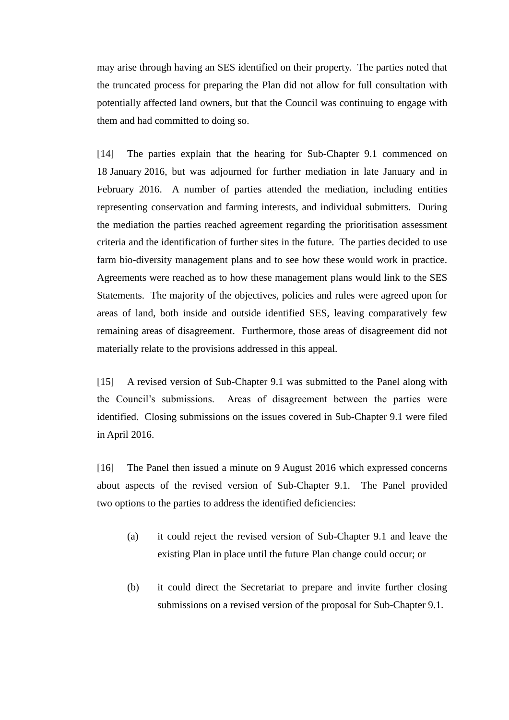may arise through having an SES identified on their property. The parties noted that the truncated process for preparing the Plan did not allow for full consultation with potentially affected land owners, but that the Council was continuing to engage with them and had committed to doing so.

[14] The parties explain that the hearing for Sub-Chapter 9.1 commenced on 18 January 2016, but was adjourned for further mediation in late January and in February 2016. A number of parties attended the mediation, including entities representing conservation and farming interests, and individual submitters. During the mediation the parties reached agreement regarding the prioritisation assessment criteria and the identification of further sites in the future. The parties decided to use farm bio-diversity management plans and to see how these would work in practice. Agreements were reached as to how these management plans would link to the SES Statements. The majority of the objectives, policies and rules were agreed upon for areas of land, both inside and outside identified SES, leaving comparatively few remaining areas of disagreement. Furthermore, those areas of disagreement did not materially relate to the provisions addressed in this appeal.

[15] A revised version of Sub-Chapter 9.1 was submitted to the Panel along with the Council's submissions. Areas of disagreement between the parties were identified. Closing submissions on the issues covered in Sub-Chapter 9.1 were filed in April 2016.

[16] The Panel then issued a minute on 9 August 2016 which expressed concerns about aspects of the revised version of Sub-Chapter 9.1. The Panel provided two options to the parties to address the identified deficiencies:

- (a) it could reject the revised version of Sub-Chapter 9.1 and leave the existing Plan in place until the future Plan change could occur; or
- (b) it could direct the Secretariat to prepare and invite further closing submissions on a revised version of the proposal for Sub-Chapter 9.1.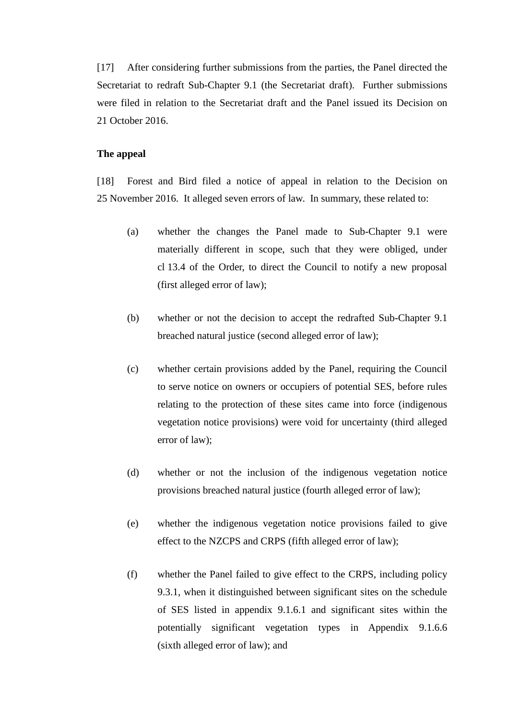[17] After considering further submissions from the parties, the Panel directed the Secretariat to redraft Sub-Chapter 9.1 (the Secretariat draft). Further submissions were filed in relation to the Secretariat draft and the Panel issued its Decision on 21 October 2016.

#### **The appeal**

[18] Forest and Bird filed a notice of appeal in relation to the Decision on 25 November 2016. It alleged seven errors of law. In summary, these related to:

- (a) whether the changes the Panel made to Sub-Chapter 9.1 were materially different in scope, such that they were obliged, under cl 13.4 of the Order, to direct the Council to notify a new proposal (first alleged error of law);
- (b) whether or not the decision to accept the redrafted Sub-Chapter 9.1 breached natural justice (second alleged error of law);
- (c) whether certain provisions added by the Panel, requiring the Council to serve notice on owners or occupiers of potential SES, before rules relating to the protection of these sites came into force (indigenous vegetation notice provisions) were void for uncertainty (third alleged error of law);
- (d) whether or not the inclusion of the indigenous vegetation notice provisions breached natural justice (fourth alleged error of law);
- (e) whether the indigenous vegetation notice provisions failed to give effect to the NZCPS and CRPS (fifth alleged error of law);
- (f) whether the Panel failed to give effect to the CRPS, including policy 9.3.1, when it distinguished between significant sites on the schedule of SES listed in appendix 9.1.6.1 and significant sites within the potentially significant vegetation types in Appendix 9.1.6.6 (sixth alleged error of law); and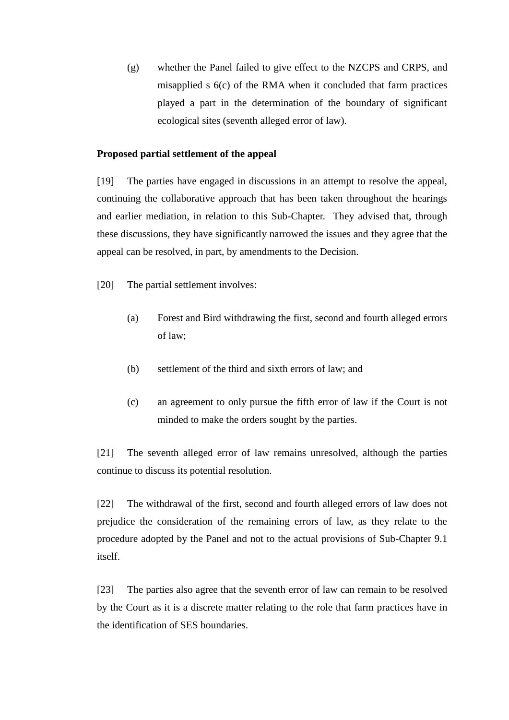(g) whether the Panel failed to give effect to the NZCPS and CRPS, and misapplied s 6(c) of the RMA when it concluded that farm practices played a part in the determination of the boundary of significant ecological sites (seventh alleged error of law).

#### **Proposed partial settlement of the appeal**

[19] The parties have engaged in discussions in an attempt to resolve the appeal, continuing the collaborative approach that has been taken throughout the hearings and earlier mediation, in relation to this Sub-Chapter. They advised that, through these discussions, they have significantly narrowed the issues and they agree that the appeal can be resolved, in part, by amendments to the Decision.

[20] The partial settlement involves:

- (a) Forest and Bird withdrawing the first, second and fourth alleged errors of law;
- (b) settlement of the third and sixth errors of law; and
- (c) an agreement to only pursue the fifth error of law if the Court is not minded to make the orders sought by the parties.

[21] The seventh alleged error of law remains unresolved, although the parties continue to discuss its potential resolution.

[22] The withdrawal of the first, second and fourth alleged errors of law does not prejudice the consideration of the remaining errors of law, as they relate to the procedure adopted by the Panel and not to the actual provisions of Sub-Chapter 9.1 itself.

[23] The parties also agree that the seventh error of law can remain to be resolved by the Court as it is a discrete matter relating to the role that farm practices have in the identification of SES boundaries.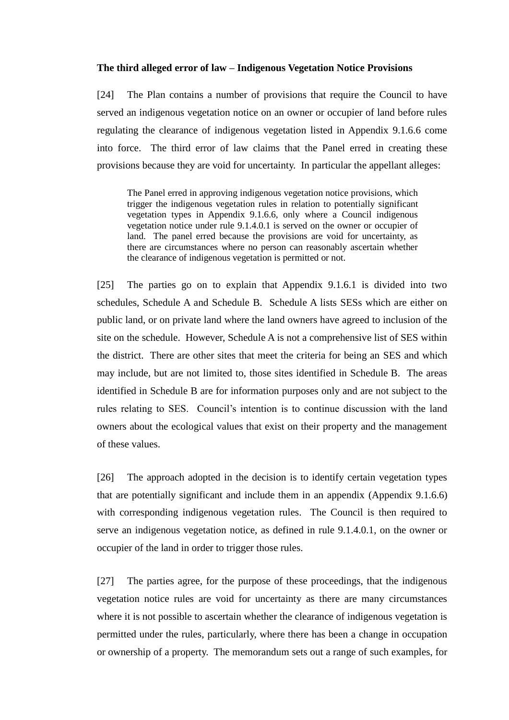#### **The third alleged error of law – Indigenous Vegetation Notice Provisions**

[24] The Plan contains a number of provisions that require the Council to have served an indigenous vegetation notice on an owner or occupier of land before rules regulating the clearance of indigenous vegetation listed in Appendix 9.1.6.6 come into force. The third error of law claims that the Panel erred in creating these provisions because they are void for uncertainty. In particular the appellant alleges:

The Panel erred in approving indigenous vegetation notice provisions, which trigger the indigenous vegetation rules in relation to potentially significant vegetation types in Appendix 9.1.6.6, only where a Council indigenous vegetation notice under rule 9.1.4.0.1 is served on the owner or occupier of land. The panel erred because the provisions are void for uncertainty, as there are circumstances where no person can reasonably ascertain whether the clearance of indigenous vegetation is permitted or not.

[25] The parties go on to explain that Appendix 9.1.6.1 is divided into two schedules, Schedule A and Schedule B. Schedule A lists SESs which are either on public land, or on private land where the land owners have agreed to inclusion of the site on the schedule. However, Schedule A is not a comprehensive list of SES within the district. There are other sites that meet the criteria for being an SES and which may include, but are not limited to, those sites identified in Schedule B. The areas identified in Schedule B are for information purposes only and are not subject to the rules relating to SES. Council's intention is to continue discussion with the land owners about the ecological values that exist on their property and the management of these values.

[26] The approach adopted in the decision is to identify certain vegetation types that are potentially significant and include them in an appendix (Appendix 9.1.6.6) with corresponding indigenous vegetation rules. The Council is then required to serve an indigenous vegetation notice, as defined in rule 9.1.4.0.1, on the owner or occupier of the land in order to trigger those rules.

[27] The parties agree, for the purpose of these proceedings, that the indigenous vegetation notice rules are void for uncertainty as there are many circumstances where it is not possible to ascertain whether the clearance of indigenous vegetation is permitted under the rules, particularly, where there has been a change in occupation or ownership of a property. The memorandum sets out a range of such examples, for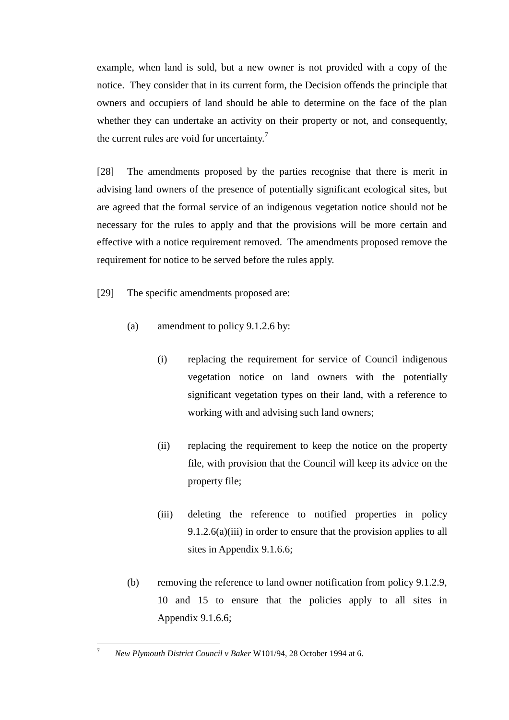example, when land is sold, but a new owner is not provided with a copy of the notice. They consider that in its current form, the Decision offends the principle that owners and occupiers of land should be able to determine on the face of the plan whether they can undertake an activity on their property or not, and consequently, the current rules are void for uncertainty.<sup>7</sup>

[28] The amendments proposed by the parties recognise that there is merit in advising land owners of the presence of potentially significant ecological sites, but are agreed that the formal service of an indigenous vegetation notice should not be necessary for the rules to apply and that the provisions will be more certain and effective with a notice requirement removed. The amendments proposed remove the requirement for notice to be served before the rules apply.

- [29] The specific amendments proposed are:
	- (a) amendment to policy 9.1.2.6 by:
		- (i) replacing the requirement for service of Council indigenous vegetation notice on land owners with the potentially significant vegetation types on their land, with a reference to working with and advising such land owners;
		- (ii) replacing the requirement to keep the notice on the property file, with provision that the Council will keep its advice on the property file;
		- (iii) deleting the reference to notified properties in policy 9.1.2.6(a)(iii) in order to ensure that the provision applies to all sites in Appendix 9.1.6.6;
	- (b) removing the reference to land owner notification from policy 9.1.2.9, 10 and 15 to ensure that the policies apply to all sites in Appendix 9.1.6.6;

 $\overline{7}$ <sup>7</sup> *New Plymouth District Council v Baker* W101/94, 28 October 1994 at 6.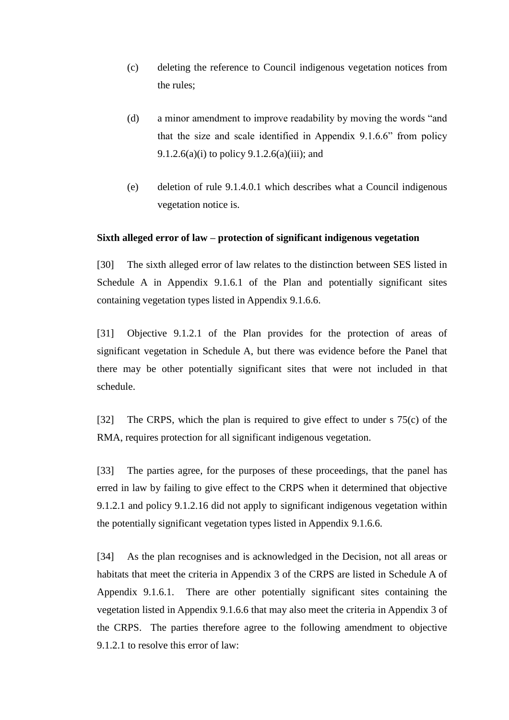- (c) deleting the reference to Council indigenous vegetation notices from the rules;
- (d) a minor amendment to improve readability by moving the words "and that the size and scale identified in Appendix 9.1.6.6" from policy 9.1.2.6(a)(i) to policy 9.1.2.6(a)(iii); and
- (e) deletion of rule 9.1.4.0.1 which describes what a Council indigenous vegetation notice is.

## **Sixth alleged error of law – protection of significant indigenous vegetation**

[30] The sixth alleged error of law relates to the distinction between SES listed in Schedule A in Appendix 9.1.6.1 of the Plan and potentially significant sites containing vegetation types listed in Appendix 9.1.6.6.

[31] Objective 9.1.2.1 of the Plan provides for the protection of areas of significant vegetation in Schedule A, but there was evidence before the Panel that there may be other potentially significant sites that were not included in that schedule.

[32] The CRPS, which the plan is required to give effect to under s 75(c) of the RMA, requires protection for all significant indigenous vegetation.

[33] The parties agree, for the purposes of these proceedings, that the panel has erred in law by failing to give effect to the CRPS when it determined that objective 9.1.2.1 and policy 9.1.2.16 did not apply to significant indigenous vegetation within the potentially significant vegetation types listed in Appendix 9.1.6.6.

[34] As the plan recognises and is acknowledged in the Decision, not all areas or habitats that meet the criteria in Appendix 3 of the CRPS are listed in Schedule A of Appendix 9.1.6.1. There are other potentially significant sites containing the vegetation listed in Appendix 9.1.6.6 that may also meet the criteria in Appendix 3 of the CRPS. The parties therefore agree to the following amendment to objective 9.1.2.1 to resolve this error of law: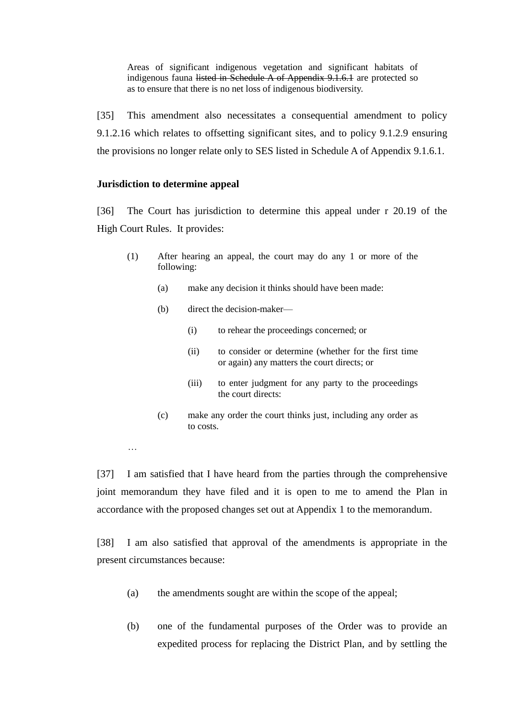Areas of significant indigenous vegetation and significant habitats of indigenous fauna listed in Schedule A of Appendix 9.1.6.1 are protected so as to ensure that there is no net loss of indigenous biodiversity.

[35] This amendment also necessitates a consequential amendment to policy 9.1.2.16 which relates to offsetting significant sites, and to policy 9.1.2.9 ensuring the provisions no longer relate only to SES listed in Schedule A of Appendix 9.1.6.1.

#### **Jurisdiction to determine appeal**

[36] The Court has jurisdiction to determine this appeal under r 20.19 of the High Court Rules. It provides:

- (1) After hearing an appeal, the court may do any 1 or more of the following:
	- (a) make any decision it thinks should have been made:
	- (b) direct the decision-maker—
		- (i) to rehear the proceedings concerned; or
		- (ii) to consider or determine (whether for the first time or again) any matters the court directs; or
		- (iii) to enter judgment for any party to the proceedings the court directs:
	- (c) make any order the court thinks just, including any order as to costs.
- …

[37] I am satisfied that I have heard from the parties through the comprehensive joint memorandum they have filed and it is open to me to amend the Plan in accordance with the proposed changes set out at Appendix 1 to the memorandum.

[38] I am also satisfied that approval of the amendments is appropriate in the present circumstances because:

- (a) the amendments sought are within the scope of the appeal;
- (b) one of the fundamental purposes of the Order was to provide an expedited process for replacing the District Plan, and by settling the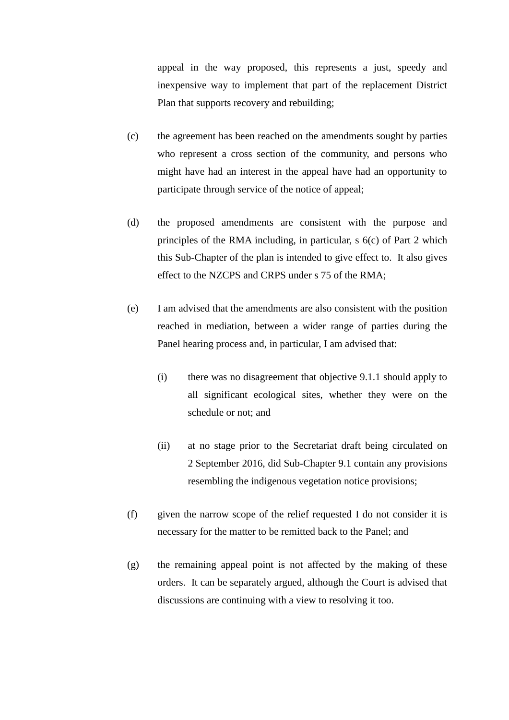appeal in the way proposed, this represents a just, speedy and inexpensive way to implement that part of the replacement District Plan that supports recovery and rebuilding;

- (c) the agreement has been reached on the amendments sought by parties who represent a cross section of the community, and persons who might have had an interest in the appeal have had an opportunity to participate through service of the notice of appeal;
- (d) the proposed amendments are consistent with the purpose and principles of the RMA including, in particular, s 6(c) of Part 2 which this Sub-Chapter of the plan is intended to give effect to. It also gives effect to the NZCPS and CRPS under s 75 of the RMA;
- (e) I am advised that the amendments are also consistent with the position reached in mediation, between a wider range of parties during the Panel hearing process and, in particular, I am advised that:
	- (i) there was no disagreement that objective 9.1.1 should apply to all significant ecological sites, whether they were on the schedule or not; and
	- (ii) at no stage prior to the Secretariat draft being circulated on 2 September 2016, did Sub-Chapter 9.1 contain any provisions resembling the indigenous vegetation notice provisions;
- (f) given the narrow scope of the relief requested I do not consider it is necessary for the matter to be remitted back to the Panel; and
- (g) the remaining appeal point is not affected by the making of these orders. It can be separately argued, although the Court is advised that discussions are continuing with a view to resolving it too.